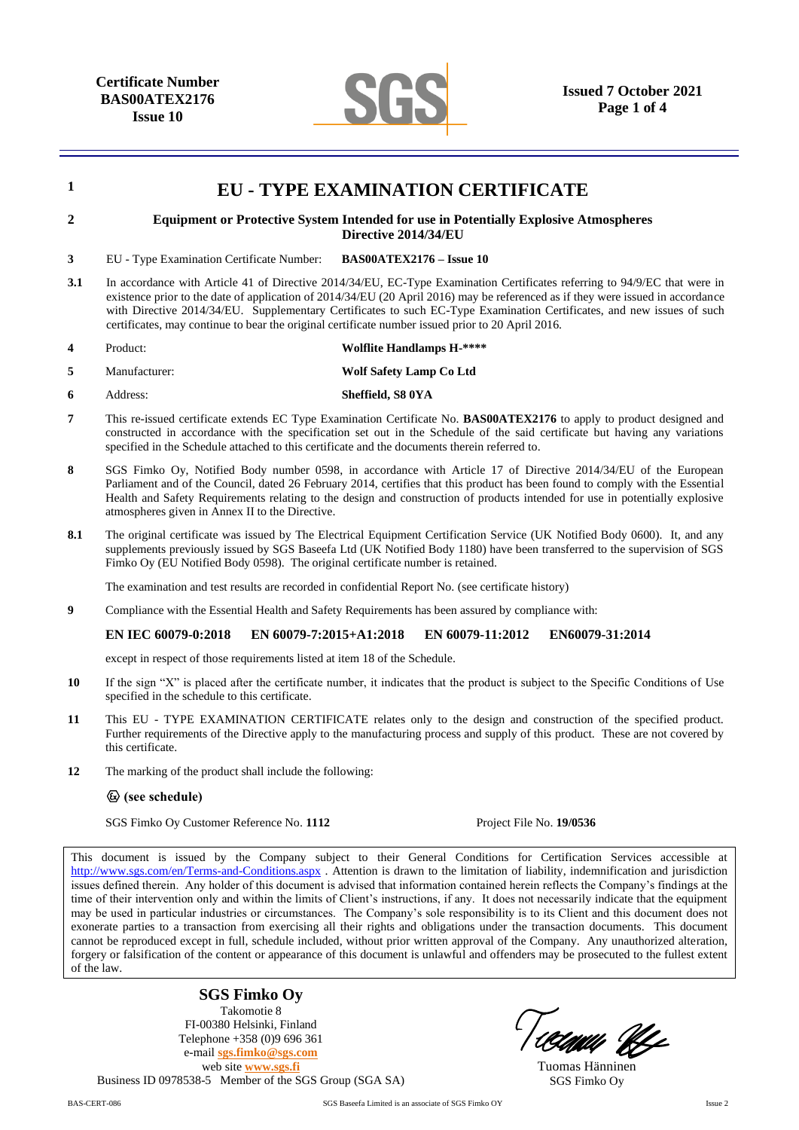**Certificate Number BAS00ATEX2176 Issue 10**



| 1   | <b>EU - TYPE EXAMINATION CERTIFICATE</b>                                                                                                                                                                                                                                                                                                                                                                                                                                                    |                                                                                                                                                                                                                                        |  |
|-----|---------------------------------------------------------------------------------------------------------------------------------------------------------------------------------------------------------------------------------------------------------------------------------------------------------------------------------------------------------------------------------------------------------------------------------------------------------------------------------------------|----------------------------------------------------------------------------------------------------------------------------------------------------------------------------------------------------------------------------------------|--|
| 2   |                                                                                                                                                                                                                                                                                                                                                                                                                                                                                             | <b>Equipment or Protective System Intended for use in Potentially Explosive Atmospheres</b><br>Directive 2014/34/EU                                                                                                                    |  |
| 3   | EU - Type Examination Certificate Number:                                                                                                                                                                                                                                                                                                                                                                                                                                                   | <b>BAS00ATEX2176 - Issue 10</b>                                                                                                                                                                                                        |  |
| 3.1 | In accordance with Article 41 of Directive 2014/34/EU, EC-Type Examination Certificates referring to 94/9/EC that were in<br>existence prior to the date of application of 2014/34/EU (20 April 2016) may be referenced as if they were issued in accordance<br>with Directive 2014/34/EU. Supplementary Certificates to such EC-Type Examination Certificates, and new issues of such<br>certificates, may continue to bear the original certificate number issued prior to 20 April 2016. |                                                                                                                                                                                                                                        |  |
| 4   | Product:                                                                                                                                                                                                                                                                                                                                                                                                                                                                                    | <b>Wolflite Handlamps H-****</b>                                                                                                                                                                                                       |  |
| 5   | Manufacturer:                                                                                                                                                                                                                                                                                                                                                                                                                                                                               | Wolf Safety Lamp Co Ltd                                                                                                                                                                                                                |  |
| 6   | Address:                                                                                                                                                                                                                                                                                                                                                                                                                                                                                    | Sheffield, S8 0YA                                                                                                                                                                                                                      |  |
| 7   | This re-issued certificate extends EC Type Examination Certificate No. <b>BAS00ATEX2176</b> to apply to product designed and<br>constructed in accordance with the specification set out in the Schedule of the said certificate but having any variations<br>specified in the Schedule attached to this certificate and the documents therein referred to.                                                                                                                                 |                                                                                                                                                                                                                                        |  |
| 8   | SGS Fimko Oy, Notified Body number 0598, in accordance with Article 17 of Directive 2014/34/EU of the European<br>Parliament and of the Council, dated 26 February 2014, certifies that this product has been found to comply with the Essential<br>Health and Safety Requirements relating to the design and construction of products intended for use in potentially explosive<br>atmospheres given in Annex II to the Directive.                                                         |                                                                                                                                                                                                                                        |  |
| 8.1 | The original certificate was issued by The Electrical Equipment Certification Service (UK Notified Body 0600). It, and any<br>supplements previously issued by SGS Baseefa Ltd (UK Notified Body 1180) have been transferred to the supervision of SGS<br>Fimko Oy (EU Notified Body 0598). The original certificate number is retained.                                                                                                                                                    |                                                                                                                                                                                                                                        |  |
|     |                                                                                                                                                                                                                                                                                                                                                                                                                                                                                             | The examination and test results are recorded in confidential Report No. (see certificate history)                                                                                                                                     |  |
| 9   |                                                                                                                                                                                                                                                                                                                                                                                                                                                                                             | Compliance with the Essential Health and Safety Requirements has been assured by compliance with:                                                                                                                                      |  |
|     | <b>EN IEC 60079-0:2018</b><br>EN 60079-7:2015+A1:2018                                                                                                                                                                                                                                                                                                                                                                                                                                       | EN 60079-11:2012<br>EN60079-31:2014                                                                                                                                                                                                    |  |
|     | except in respect of those requirements listed at item 18 of the Schedule.                                                                                                                                                                                                                                                                                                                                                                                                                  |                                                                                                                                                                                                                                        |  |
| 10  | If the sign "X" is placed after the certificate number, it indicates that the product is subject to the Specific Conditions of Use<br>specified in the schedule to this certificate.                                                                                                                                                                                                                                                                                                        |                                                                                                                                                                                                                                        |  |
| 11  | This EU - TYPE EXAMINATION CERTIFICATE relates only to the design and construction of the specified product.<br>Further requirements of the Directive apply to the manufacturing process and supply of this product. These are not covered by<br>this certificate.                                                                                                                                                                                                                          |                                                                                                                                                                                                                                        |  |
| 12  | The marking of the product shall include the following:                                                                                                                                                                                                                                                                                                                                                                                                                                     |                                                                                                                                                                                                                                        |  |
|     | $\circledcirc$ (see schedule)                                                                                                                                                                                                                                                                                                                                                                                                                                                               |                                                                                                                                                                                                                                        |  |
|     | SGS Fimko Oy Customer Reference No. 1112                                                                                                                                                                                                                                                                                                                                                                                                                                                    | Project File No. 19/0536                                                                                                                                                                                                               |  |
|     | $\pi$ and $\pi$ is a set of $\pi$ is a set of $\pi$ in $\pi$ . The set of $\pi$<br>$\sim$                                                                                                                                                                                                                                                                                                                                                                                                   | $\mathbf{1}$ $\mathbf{1}$ $\mathbf{1}$ $\mathbf{1}$ $\mathbf{1}$ $\mathbf{1}$ $\mathbf{1}$ $\mathbf{1}$ $\mathbf{1}$ $\mathbf{1}$ $\mathbf{1}$<br><b>CONTRACTOR</b><br>$\alpha$ and $\alpha$ and $\alpha$<br>$\mathbf{1}$ $\mathbf{0}$ |  |

This document is issued by the Company subject to their General Conditions for Certification Services accessible at <http://www.sgs.com/en/Terms-and-Conditions.aspx> . Attention is drawn to the limitation of liability, indemnification and jurisdiction issues defined therein. Any holder of this document is advised that information contained herein reflects the Company's findings at the time of their intervention only and within the limits of Client's instructions, if any. It does not necessarily indicate that the equipment may be used in particular industries or circumstances. The Company's sole responsibility is to its Client and this document does not exonerate parties to a transaction from exercising all their rights and obligations under the transaction documents. This document cannot be reproduced except in full, schedule included, without prior written approval of the Company. Any unauthorized alteration, forgery or falsification of the content or appearance of this document is unlawful and offenders may be prosecuted to the fullest extent of the law.

**SGS Fimko Oy** Takomotie 8 FI-00380 Helsinki, Finland Telephone +358 (0)9 696 361 e-mail **[sgs.fimko@sgs.com](mailto:sgs.fimko@sgs.com)** web site **[www.sgs.fi](http://www.sgs.fi/)** Business ID 0978538-5 Member of the SGS Group (SGA SA)

'CAWA UL

Tuomas Hänninen SGS Fimko Oy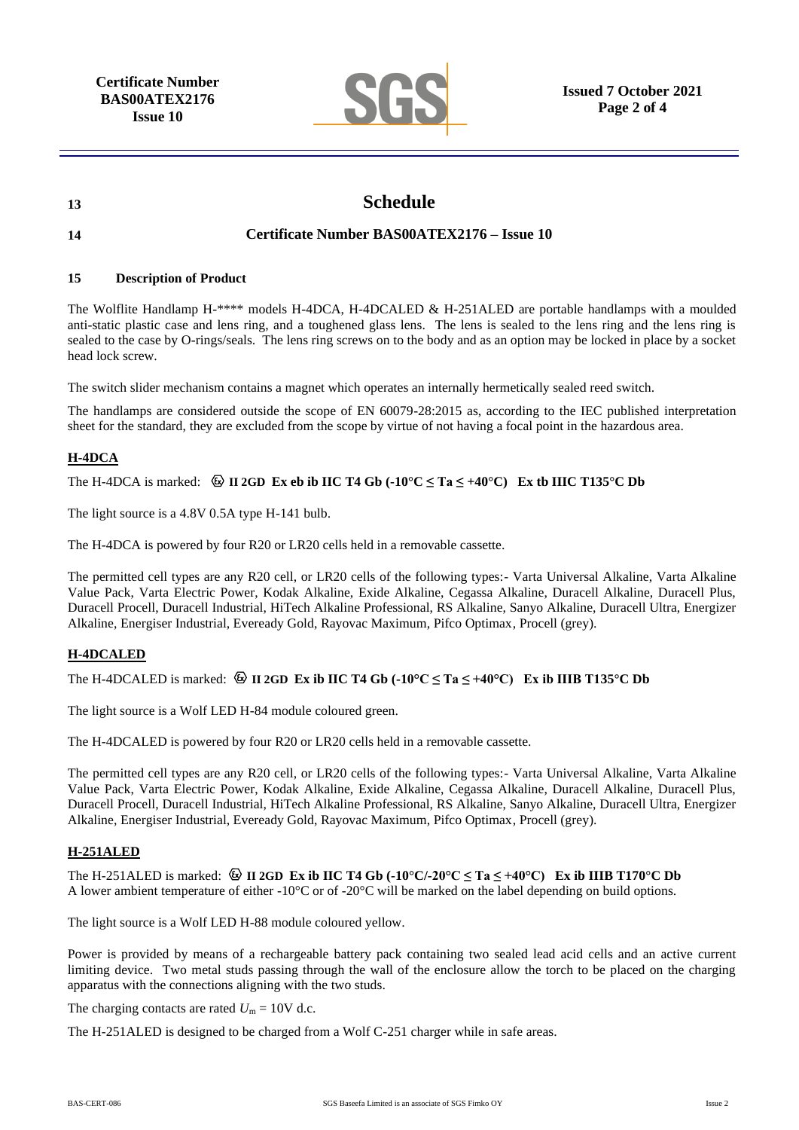**Certificate Number BAS00ATEX2176 Issue 10**



# **13 Schedule**

# **14 Certificate Number BAS00ATEX2176 – Issue 10**

#### **15 Description of Product**

The Wolflite Handlamp H-\*\*\*\* models H-4DCA, H-4DCALED & H-251ALED are portable handlamps with a moulded anti-static plastic case and lens ring, and a toughened glass lens. The lens is sealed to the lens ring and the lens ring is sealed to the case by O-rings/seals. The lens ring screws on to the body and as an option may be locked in place by a socket head lock screw.

The switch slider mechanism contains a magnet which operates an internally hermetically sealed reed switch.

The handlamps are considered outside the scope of EN 60079-28:2015 as, according to the IEC published interpretation sheet for the standard, they are excluded from the scope by virtue of not having a focal point in the hazardous area.

# **H-4DCA**

### The H-4DCA is marked:  $\circledcirc$  II 2GD **Ex eb ib IIC T4 Gb** (-10°C  $\leq$  Ta  $\leq$  +40°C) **Ex tb IIIC T135°C Db**

The light source is a 4.8V 0.5A type H-141 bulb.

The H-4DCA is powered by four R20 or LR20 cells held in a removable cassette.

The permitted cell types are any R20 cell, or LR20 cells of the following types:- Varta Universal Alkaline, Varta Alkaline Value Pack, Varta Electric Power, Kodak Alkaline, Exide Alkaline, Cegassa Alkaline, Duracell Alkaline, Duracell Plus, Duracell Procell, Duracell Industrial, HiTech Alkaline Professional, RS Alkaline, Sanyo Alkaline, Duracell Ultra, Energizer Alkaline, Energiser Industrial, Eveready Gold, Rayovac Maximum, Pifco Optimax, Procell (grey).

### **H-4DCALED**

The H-4DCALED is marked:  $\circledR$  **II 2GD Ex ib IIC T4 Gb** (-10<sup>o</sup>C  $\leq$  Ta  $\leq$  +40<sup>o</sup>C) Ex ib IIIB T135<sup>o</sup>C Db

The light source is a Wolf LED H-84 module coloured green.

The H-4DCALED is powered by four R20 or LR20 cells held in a removable cassette.

The permitted cell types are any R20 cell, or LR20 cells of the following types:- Varta Universal Alkaline, Varta Alkaline Value Pack, Varta Electric Power, Kodak Alkaline, Exide Alkaline, Cegassa Alkaline, Duracell Alkaline, Duracell Plus, Duracell Procell, Duracell Industrial, HiTech Alkaline Professional, RS Alkaline, Sanyo Alkaline, Duracell Ultra, Energizer Alkaline, Energiser Industrial, Eveready Gold, Rayovac Maximum, Pifco Optimax, Procell (grey).

### **H-251ALED**

The H-251ALED is marked:  $\circledast$  **II 2GD Ex ib IIC T4 Gb (-10°C/-20°C**  $\leq$  **Ta**  $\leq$  **+40°C) Ex ib IIIB T170°C Db** A lower ambient temperature of either -10°C or of -20°C will be marked on the label depending on build options.

The light source is a Wolf LED H-88 module coloured yellow.

Power is provided by means of a rechargeable battery pack containing two sealed lead acid cells and an active current limiting device. Two metal studs passing through the wall of the enclosure allow the torch to be placed on the charging apparatus with the connections aligning with the two studs.

The charging contacts are rated  $U_m = 10V$  d.c.

The H-251ALED is designed to be charged from a Wolf C-251 charger while in safe areas.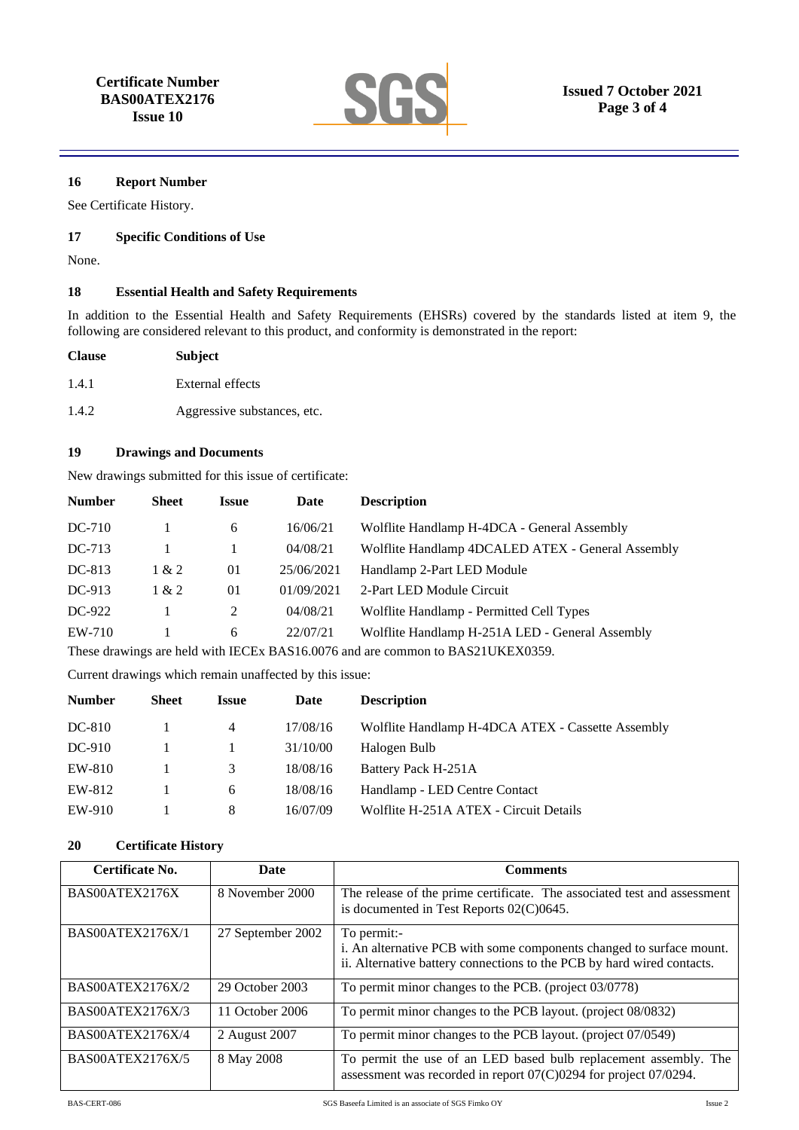

#### **16 Report Number**

See Certificate History.

#### **17 Specific Conditions of Use**

None.

# **18 Essential Health and Safety Requirements**

In addition to the Essential Health and Safety Requirements (EHSRs) covered by the standards listed at item 9, the following are considered relevant to this product, and conformity is demonstrated in the report:

| <b>Clause</b> | <b>Subject</b>              |
|---------------|-----------------------------|
| 1.4.1         | External effects            |
| 1.4.2         | Aggressive substances, etc. |

#### **19 Drawings and Documents**

New drawings submitted for this issue of certificate:

| <b>Number</b> | Sheet         | Issue | Date       | <b>Description</b>                                |
|---------------|---------------|-------|------------|---------------------------------------------------|
| $DC-710$      |               | 6     | 16/06/21   | Wolflite Handlamp H-4DCA - General Assembly       |
| $DC-713$      |               |       | 04/08/21   | Wolflite Handlamp 4DCALED ATEX - General Assembly |
| DC-813        | 1 & 2         | 01    | 25/06/2021 | Handlamp 2-Part LED Module                        |
| DC-913        | 1 & 2         | 01    | 01/09/2021 | 2-Part LED Module Circuit                         |
| DC-922        |               | 2     | 04/08/21   | Wolflite Handlamp - Permitted Cell Types          |
| EW-710        |               | 6     | 22/07/21   | Wolflite Handlamp H-251A LED - General Assembly   |
| $\sim$        | $\sim$ $\sim$ |       |            |                                                   |

These drawings are held with IECEx BAS16.0076 and are common to BAS21UKEX0359.

Current drawings which remain unaffected by this issue:

| <b>Number</b> | <b>Sheet</b> | <b>Issue</b> | Date     | <b>Description</b>                                |
|---------------|--------------|--------------|----------|---------------------------------------------------|
| DC-810        |              | 4            | 17/08/16 | Wolflite Handlamp H-4DCA ATEX - Cassette Assembly |
| $DC-910$      |              |              | 31/10/00 | Halogen Bulb                                      |
| EW-810        |              | 3            | 18/08/16 | Battery Pack H-251A                               |
| EW-812        |              | 6            | 18/08/16 | Handlamp - LED Centre Contact                     |
| EW-910        |              | 8            | 16/07/09 | Wolflite H-251A ATEX - Circuit Details            |

# **20 Certificate History**

| Certificate No.         | Date              | <b>Comments</b>                                                                                                                                               |
|-------------------------|-------------------|---------------------------------------------------------------------------------------------------------------------------------------------------------------|
| BAS00ATEX2176X          | 8 November 2000   | The release of the prime certificate. The associated test and assessment<br>is documented in Test Reports 02(C)0645.                                          |
| BAS00ATEX2176X/1        | 27 September 2002 | To permit:-<br>i. An alternative PCB with some components changed to surface mount.<br>ii. Alternative battery connections to the PCB by hard wired contacts. |
| <b>BAS00ATEX2176X/2</b> | 29 October 2003   | To permit minor changes to the PCB. (project 03/0778)                                                                                                         |
| <b>BAS00ATEX2176X/3</b> | 11 October 2006   | To permit minor changes to the PCB layout. (project 08/0832)                                                                                                  |
| <b>BAS00ATEX2176X/4</b> | 2 August 2007     | To permit minor changes to the PCB layout. (project 07/0549)                                                                                                  |
| <b>BAS00ATEX2176X/5</b> | 8 May 2008        | To permit the use of an LED based bulb replacement assembly. The<br>assessment was recorded in report $07(C)0294$ for project $07/0294$ .                     |